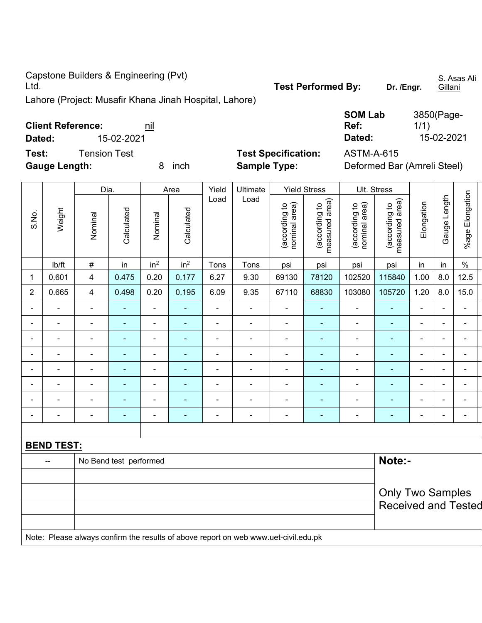Capstone Builders & Engineering (Pvt)

Lahore (Project: Musafir Khana Jinah Hospital, Lahore)

| Dated: | <b>Client Reference:</b> |                     | 15-02-2021 | nil             |                    |               |                     |                                   |                                                             | <b>SOM Lab</b><br>Ref:<br>Dated: |                                                     | 3850(Page-<br>1/1) | 15-02-2021            |                    |  |
|--------|--------------------------|---------------------|------------|-----------------|--------------------|---------------|---------------------|-----------------------------------|-------------------------------------------------------------|----------------------------------|-----------------------------------------------------|--------------------|-----------------------|--------------------|--|
| Test:  | <b>Gauge Length:</b>     | <b>Tension Test</b> |            | 8               | inch               |               | <b>Sample Type:</b> | <b>Test Specification:</b>        |                                                             | <b>ASTM-A-615</b>                | Deformed Bar (Amreli Steel)                         |                    |                       |                    |  |
| S.No.  | Weight                   | Dia.<br>Nominal     | Calculated | Nominal         | Area<br>Calculated | Yield<br>Load | Ultimate<br>Load    | area)<br>(according to<br>nominal | <b>Yield Stress</b><br>area)<br>đ<br>(according<br>measured | area)<br>₽<br>(according t       | Ult. Stress<br>area)<br>ೆ<br>(according<br>measured | Elongation         | Length<br>auge<br>(5) | Elongation<br>%age |  |
|        | lb/ft                    | #                   | in.        | in <sup>2</sup> | in <sup>2</sup>    | Tons          | Tons                | psi                               | psi                                                         | psi                              | psi                                                 | in                 | in.                   | $\%$               |  |
| 1      | 0.601                    | 4                   | 0.475      | 0.20            | 0.177              | 6.27          | 9.30                | 69130                             | 78120                                                       | 102520                           | 115840                                              | 1.00               | 8.0                   | 12.5               |  |
|        |                          |                     |            |                 |                    |               |                     |                                   |                                                             |                                  |                                                     |                    |                       |                    |  |

| No Bend test performed<br>-- |                |                          |                |                          |                          |                |                |                |                |                | Note:-                   |                          |                          |                |  |
|------------------------------|----------------|--------------------------|----------------|--------------------------|--------------------------|----------------|----------------|----------------|----------------|----------------|--------------------------|--------------------------|--------------------------|----------------|--|
| <b>BEND TEST:</b>            |                |                          |                |                          |                          |                |                |                |                |                |                          |                          |                          |                |  |
|                              |                |                          |                |                          |                          |                |                |                |                |                |                          |                          |                          |                |  |
|                              | $\blacksquare$ |                          |                |                          |                          | $\blacksquare$ | $\blacksquare$ | $\blacksquare$ | ۰              | $\blacksquare$ | $\sim$                   | $\blacksquare$           | -                        | ٠              |  |
| ۰.                           | ٠              | $\blacksquare$           | $\blacksquare$ | $\blacksquare$           | $\blacksquare$           | ۰.             | $\blacksquare$ | ٠              | $\blacksquare$ | $\blacksquare$ | ٠                        | $\overline{\phantom{0}}$ | $\overline{\phantom{0}}$ | ٠              |  |
| $\overline{\phantom{0}}$     |                |                          |                |                          |                          | -              | $\overline{a}$ | $\equiv$       | ۰              | $\overline{a}$ | $\overline{\phantom{0}}$ |                          |                          |                |  |
| ٠.                           | ۰.             | $\blacksquare$           | $\blacksquare$ | $\blacksquare$           | $\blacksquare$           | -              | $\blacksquare$ | ۰.             | $\blacksquare$ | $\blacksquare$ | $\blacksquare$           | $\overline{\phantom{0}}$ | $\overline{\phantom{0}}$ | -              |  |
| $\blacksquare$               | ۰.             | $\overline{\phantom{a}}$ | ۰              | $\blacksquare$           | $\blacksquare$           | -              | $\blacksquare$ | $\blacksquare$ | ۰              | $\blacksquare$ | ۰                        | $\blacksquare$           | $\sim$                   | -              |  |
|                              | $\blacksquare$ | $\blacksquare$           | $\sim$         | $\overline{\phantom{0}}$ | $\overline{\phantom{0}}$ | $\blacksquare$ | $\blacksquare$ | $\blacksquare$ | ٠              | $\blacksquare$ | $\sim$                   | $\overline{\phantom{0}}$ | $\overline{\phantom{0}}$ | $\blacksquare$ |  |
| ۰.                           | ۰.             | $\blacksquare$           | $\blacksquare$ | -                        | $\blacksquare$           | ۰.             | $\blacksquare$ | $\blacksquare$ | $\blacksquare$ | $\blacksquare$ | $\blacksquare$           | $\blacksquare$           | $\overline{\phantom{0}}$ | -              |  |
| ۰.                           | ۰.             | $\blacksquare$           | ۰              | $\overline{\phantom{0}}$ |                          | -              | $\blacksquare$ | $\blacksquare$ | ۰              | $\blacksquare$ | $\blacksquare$           | $\blacksquare$           | $\overline{\phantom{0}}$ | $\blacksquare$ |  |
| $\overline{2}$               | 0.665          | $\overline{4}$           | 0.498          | 0.20                     | 0.195                    | 6.09           | 9.35           | 67110          | 68830          | 103080         | 105720                   | 1.20                     | 8.0                      | 15.0           |  |
| 1                            | 0.601          | $\overline{\mathbf{4}}$  | 0.475          | 0.20                     | 0.177                    | 6.27           | 9.30           | 69130          | 78120          | 102520         | 115840                   | 1.00                     | 8.0                      | 12.5           |  |
|                              |                |                          |                |                          |                          |                |                |                |                |                |                          |                          |                          |                |  |

|                                                                                     | <b>Only Two Samples</b> |
|-------------------------------------------------------------------------------------|-------------------------|
|                                                                                     | Received and Tested     |
|                                                                                     |                         |
| Note: Please always confirm the results of above report on web www.uet-civil.edu.pk |                         |

S. Asas Ali Gillani

Test Performed By: Dr. /Engr.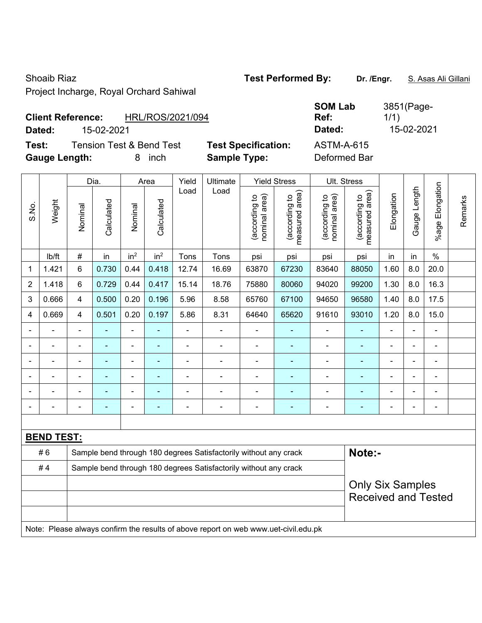Project Incharge, Royal Orchard Sahiwal

# **Client Reference:** HRL/ROS/2021/094

**Dated:** 15-02-2021 **Dated:** 15-02-2021

**Test:** Tension Test & Bend Test **Test Specification:** ASTM-A-615 **Gauge Length:** 8 inch **Sample Type:** Deformed Bar

|                |                   |                                                                  | Dia.           |                          | Area            | Yield          | Ultimate                                                                            | <b>Yield Stress</b>            |                                             | Ult. Stress                    |                                 |                          |                |                       |         |
|----------------|-------------------|------------------------------------------------------------------|----------------|--------------------------|-----------------|----------------|-------------------------------------------------------------------------------------|--------------------------------|---------------------------------------------|--------------------------------|---------------------------------|--------------------------|----------------|-----------------------|---------|
| S.No.          | Weight            | Nominal                                                          | Calculated     | Nominal                  | Calculated      | Load           | Load                                                                                | nominal area)<br>(according to | (according to<br>measured area)<br>measured | nominal area)<br>(according to | (according to<br>measured area) | Elongation               | Gauge Length   | Elongation<br>$%$ age | Remarks |
|                | lb/ft             | $\#$                                                             | in             | in <sup>2</sup>          | in <sup>2</sup> | Tons           | Tons                                                                                | psi                            | psi                                         | psi                            | psi                             | in                       | in             | $\%$                  |         |
| $\mathbf{1}$   | 1.421             | $6\phantom{1}$                                                   | 0.730          | 0.44                     | 0.418           | 12.74          | 16.69                                                                               | 63870                          | 67230                                       | 83640                          | 88050                           | 1.60                     | 8.0            | 20.0                  |         |
| $\overline{2}$ | 1.418             | 6                                                                | 0.729          | 0.44                     | 0.417           | 15.14          | 18.76                                                                               | 75880                          | 80060                                       | 94020                          | 99200                           | 1.30                     | 8.0            | 16.3                  |         |
| 3              | 0.666             | $\overline{4}$                                                   | 0.500          | 0.20                     | 0.196           | 5.96           | 8.58                                                                                | 65760                          | 67100                                       | 94650                          | 96580                           | 1.40                     | 8.0            | 17.5                  |         |
| 4              | 0.669             | $\overline{4}$                                                   | 0.501          | 0.20                     | 0.197           | 5.86           | 8.31                                                                                | 64640                          | 65620                                       | 91610                          | 93010                           | 1.20                     | 8.0            | 15.0                  |         |
|                |                   | $\blacksquare$                                                   | ÷,             | ä,                       | ä,              | $\blacksquare$ | ÷                                                                                   |                                | $\blacksquare$                              | $\blacksquare$                 | $\blacksquare$                  | ä,                       | $\blacksquare$ |                       |         |
|                |                   |                                                                  |                |                          |                 |                |                                                                                     |                                |                                             |                                |                                 |                          |                |                       |         |
|                |                   |                                                                  |                |                          |                 |                |                                                                                     |                                |                                             |                                |                                 |                          |                |                       |         |
|                |                   | $\blacksquare$                                                   | $\blacksquare$ | $\overline{\phantom{0}}$ | $\blacksquare$  | $\blacksquare$ | $\blacksquare$                                                                      | $\blacksquare$                 | $\overline{\phantom{a}}$                    | $\blacksquare$                 | $\blacksquare$                  | $\overline{\phantom{0}}$ | $\blacksquare$ | $\blacksquare$        |         |
|                |                   | $\blacksquare$                                                   | $\blacksquare$ | ä,                       | $\blacksquare$  | $\blacksquare$ | $\blacksquare$                                                                      | $\blacksquare$                 | $\blacksquare$                              | $\blacksquare$                 | $\blacksquare$                  | $\blacksquare$           |                | $\blacksquare$        |         |
|                |                   |                                                                  | -              | $\blacksquare$           | ÷               |                | $\blacksquare$                                                                      |                                | $\blacksquare$                              | $\blacksquare$                 | $\blacksquare$                  | $\blacksquare$           |                | Ē,                    |         |
|                |                   |                                                                  |                |                          |                 |                |                                                                                     |                                |                                             |                                |                                 |                          |                |                       |         |
|                | <b>BEND TEST:</b> |                                                                  |                |                          |                 |                |                                                                                     |                                |                                             |                                |                                 |                          |                |                       |         |
|                | #6                |                                                                  |                |                          |                 |                | Sample bend through 180 degrees Satisfactorily without any crack                    |                                |                                             |                                | Note:-                          |                          |                |                       |         |
|                | #4                | Sample bend through 180 degrees Satisfactorily without any crack |                |                          |                 |                |                                                                                     |                                |                                             |                                |                                 |                          |                |                       |         |
|                |                   |                                                                  |                |                          |                 |                |                                                                                     |                                |                                             | <b>Only Six Samples</b>        |                                 |                          |                |                       |         |
|                |                   |                                                                  |                |                          |                 |                |                                                                                     |                                |                                             |                                | <b>Received and Tested</b>      |                          |                |                       |         |
|                |                   |                                                                  |                |                          |                 |                |                                                                                     |                                |                                             |                                |                                 |                          |                |                       |         |
|                |                   |                                                                  |                |                          |                 |                | Note: Please always confirm the results of above report on web www.uet-civil.edu.pk |                                |                                             |                                |                                 |                          |                |                       |         |

# Shoaib Riaz **Test Performed By:** Dr. /Engr. **S. Asas Ali Gillani** Shoaib Riaz **Dr. /Engr. S. Asas Ali Gillani**

**SOM Lab** 

**Ref:** 



3851(Page-

1/1)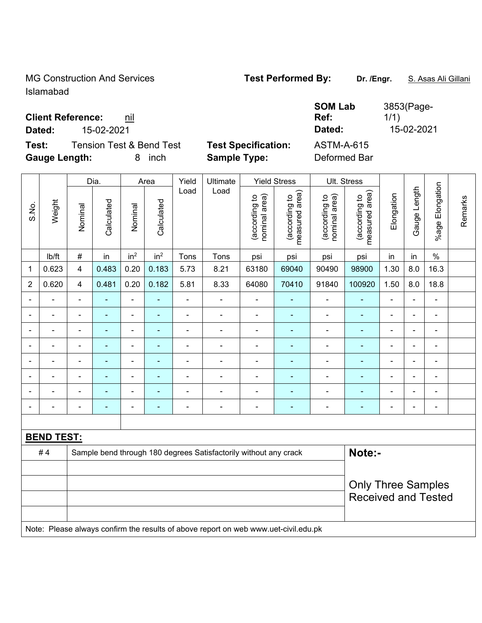MG Construction And Services **Test Performed By:** Dr. /Engr. **S. Asas Ali Gillani** Islamabad

# **Client Reference:** nil

**Test:** Tension Test & Bend Test **Test Specification:** ASTM-A-615 **Gauge Length:** 8 inch **Sample Type:** Deformed Bar

**SOM Lab Ref:**  3853(Page-1/1) **Dated:** 15-02-2021 **Dated:** 15-02-2021

|                          |                   |                         | Dia.           |                          | Area            | Yield                    | Ultimate                                                         |                                | Yield Stress                    |                                | UII. Stress                                             |                |                          |                              |         |
|--------------------------|-------------------|-------------------------|----------------|--------------------------|-----------------|--------------------------|------------------------------------------------------------------|--------------------------------|---------------------------------|--------------------------------|---------------------------------------------------------|----------------|--------------------------|------------------------------|---------|
| S.No.                    | Weight            | Nominal                 | Calculated     | Nominal                  | Calculated      | Load                     | Load                                                             | nominal area)<br>(according to | measured area)<br>(according to | (according to<br>nominal area) | measured area)<br>(according to                         | Elongation     | Gauge Length             | %age Elongation              | Remarks |
|                          | lb/ft             | $\#$                    | in             | in <sup>2</sup>          | in <sup>2</sup> | Tons                     | Tons                                                             | psi                            | psi                             | psi                            | psi                                                     | in             | in                       | $\%$                         |         |
| 1                        | 0.623             | $\overline{\mathbf{4}}$ | 0.483          | 0.20                     | 0.183           | 5.73                     | 8.21                                                             | 63180                          | 69040                           | 90490                          | 98900                                                   | 1.30           | 8.0                      | 16.3                         |         |
| $\sqrt{2}$               | 0.620             | $\overline{\mathbf{4}}$ | 0.481          | 0.20                     | 0.182           | 5.81                     | 8.33                                                             | 64080                          | 70410                           | 91840                          | 100920                                                  | 1.50           | 8.0                      | 18.8                         |         |
| $\overline{\phantom{0}}$ | -                 | $\blacksquare$          | ä,             | $\blacksquare$           | $\blacksquare$  | $\overline{\phantom{a}}$ | $\overline{a}$                                                   | $\blacksquare$                 | $\blacksquare$                  | $\blacksquare$                 | $\blacksquare$                                          | ÷              | $\overline{\phantom{a}}$ | $\frac{1}{2}$                |         |
|                          |                   | -                       |                |                          | $\blacksquare$  | $\blacksquare$           |                                                                  |                                |                                 |                                |                                                         | $\overline{a}$ | ÷,                       |                              |         |
| $\overline{\phantom{a}}$ |                   | $\blacksquare$          | ۰              | ۰                        | ۰               |                          |                                                                  | $\blacksquare$                 |                                 |                                |                                                         | ۰              | $\blacksquare$           | $\blacksquare$               |         |
| $\overline{\phantom{0}}$ | ÷                 | $\blacksquare$          | $\blacksquare$ | ۰                        | ÷               | $\overline{\phantom{0}}$ |                                                                  | $\blacksquare$                 | $\overline{\phantom{a}}$        | $\blacksquare$                 | ÷                                                       | ÷              | $\blacksquare$           | $\blacksquare$               |         |
| $\blacksquare$           |                   | -                       |                | $\blacksquare$           |                 | $\blacksquare$           |                                                                  |                                |                                 |                                |                                                         | $\blacksquare$ | ۳                        |                              |         |
| $\overline{\phantom{a}}$ |                   |                         | $\blacksquare$ | $\overline{\phantom{0}}$ | ÷               | $\overline{\phantom{0}}$ |                                                                  | $\blacksquare$                 | ٠                               | $\overline{a}$                 | ٠                                                       | ۰              | $\blacksquare$           | $\qquad \qquad \blacksquare$ |         |
|                          |                   |                         |                |                          | ÷               | $\blacksquare$           |                                                                  | $\blacksquare$                 |                                 |                                | ÷                                                       | ÷              | $\blacksquare$           |                              |         |
|                          | -                 | $\blacksquare$          | ۰              | ۰                        | $\blacksquare$  | $\blacksquare$           | $\blacksquare$                                                   | $\blacksquare$                 | $\blacksquare$                  | $\blacksquare$                 | $\blacksquare$                                          | ۰              | $\blacksquare$           | $\blacksquare$               |         |
|                          |                   |                         |                |                          |                 |                          |                                                                  |                                |                                 |                                |                                                         |                |                          |                              |         |
|                          | <u>BEND TEST:</u> |                         |                |                          |                 |                          |                                                                  |                                |                                 |                                |                                                         |                |                          |                              |         |
|                          | #4                |                         |                |                          |                 |                          | Sample bend through 180 degrees Satisfactorily without any crack |                                |                                 |                                | Note:-                                                  |                |                          |                              |         |
|                          |                   |                         |                |                          |                 |                          |                                                                  |                                |                                 |                                |                                                         |                |                          |                              |         |
|                          |                   |                         |                |                          |                 |                          |                                                                  |                                |                                 |                                | <b>Only Three Samples</b><br><b>Received and Tested</b> |                |                          |                              |         |
|                          |                   |                         |                |                          |                 |                          |                                                                  |                                |                                 |                                |                                                         |                |                          |                              |         |

Note: Please always confirm the results of above report on web www.uet-civil.edu.pk

Dia. | Area | Yield | Ultimate | Yield Stress | Ult. Stress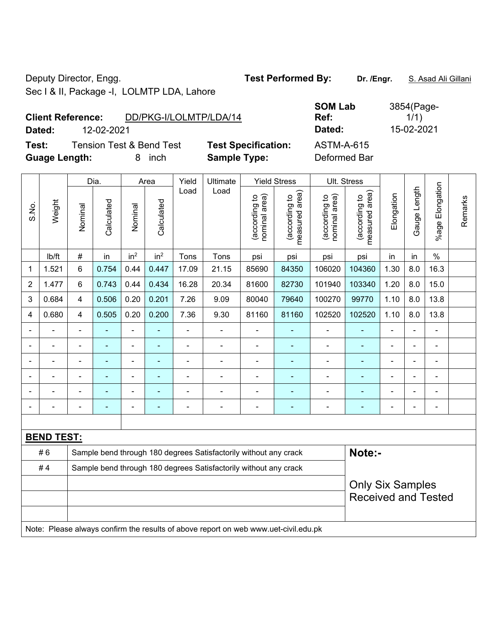Deputy Director, Engg. **Test Performed By:** Dr. /Engr. **S. Asad Ali Gillani** Sec I & II, Package -I, LOLMTP LDA, Lahore

**Client Reference:** DD/PKG-I/LOLMTP/LDA/14

**Dated:** 12-02-2021 **Dated:** 15-02-2021

**Test:** Tension Test & Bend Test **Test Specification:** ASTM-A-615 **Guage Length:** 8 inch **Sample Type:** Deformed Bar

|                |                   |                                                                  | Dia.           |                          | Area            | Yield<br>Ultimate |                                                                                     | <b>Yield Stress</b>            |                                 | Ult. Stress                    |                                 |                              |                          |                          |         |
|----------------|-------------------|------------------------------------------------------------------|----------------|--------------------------|-----------------|-------------------|-------------------------------------------------------------------------------------|--------------------------------|---------------------------------|--------------------------------|---------------------------------|------------------------------|--------------------------|--------------------------|---------|
| S.No.          | Weight            | Nominal                                                          | Calculated     | Nominal                  | Calculated      | Load              | Load                                                                                | nominal area)<br>(according to | (according to<br>measured area) | nominal area)<br>(according to | measured area)<br>(according to | Elongation                   | Gauge Length             | Elongation<br>$%$ age I  | Remarks |
|                | lb/ft             | #                                                                | in             | in <sup>2</sup>          | in <sup>2</sup> | Tons              | Tons                                                                                | psi                            | psi                             | psi                            | psi                             | in                           | in                       | $\frac{0}{0}$            |         |
| 1              | 1.521             | 6                                                                | 0.754          | 0.44                     | 0.447           | 17.09             | 21.15                                                                               | 85690                          | 84350                           | 106020                         | 104360                          | 1.30                         | 8.0                      | 16.3                     |         |
| $\overline{2}$ | 1.477             | 6                                                                | 0.743          | 0.44                     | 0.434           | 16.28             | 20.34                                                                               | 81600                          | 82730                           | 101940                         | 103340                          | 1.20                         | 8.0                      | 15.0                     |         |
| 3              | 0.684             | 4                                                                | 0.506          | 0.20                     | 0.201           | 7.26              | 9.09                                                                                | 80040                          | 79640                           | 100270                         | 99770                           | 1.10                         | 8.0                      | 13.8                     |         |
| 4              | 0.680             | 4                                                                | 0.505          | 0.20                     | 0.200           | 7.36              | 9.30                                                                                | 81160                          | 81160                           | 102520                         | 102520                          | 1.10                         | 8.0                      | 13.8                     |         |
|                |                   | $\blacksquare$                                                   | ٠              | $\overline{\phantom{a}}$ | $\blacksquare$  | $\blacksquare$    | $\overline{\phantom{a}}$                                                            | $\blacksquare$                 | $\blacksquare$                  | $\blacksquare$                 | ٠                               | $\overline{\phantom{a}}$     | $\blacksquare$           | $\blacksquare$           |         |
|                |                   | ä,                                                               | ÷,             | ÷,                       | $\blacksquare$  | ä,                | $\blacksquare$                                                                      | $\blacksquare$                 | $\blacksquare$                  | $\blacksquare$                 | ä,                              |                              |                          | ä,                       |         |
|                |                   |                                                                  |                | $\blacksquare$           | L,              | $\blacksquare$    | $\blacksquare$                                                                      | $\blacksquare$                 | ä,                              | $\blacksquare$                 | ۰                               |                              |                          | ä,                       |         |
|                |                   |                                                                  |                | $\blacksquare$           |                 | L.                |                                                                                     | ä,                             |                                 |                                |                                 |                              |                          | $\blacksquare$           |         |
|                |                   | ä,                                                               |                | $\blacksquare$           | ۰               |                   | $\blacksquare$                                                                      | $\blacksquare$                 | $\blacksquare$                  | $\blacksquare$                 | ۰                               |                              | $\blacksquare$           | $\blacksquare$           |         |
|                |                   | -                                                                | $\blacksquare$ | $\overline{\phantom{0}}$ | ۰               | $\blacksquare$    | $\overline{a}$                                                                      | $\blacksquare$                 | $\blacksquare$                  | $\qquad \qquad \blacksquare$   | ۰                               | $\qquad \qquad \blacksquare$ | $\overline{\phantom{a}}$ | $\overline{\phantom{a}}$ |         |
|                |                   |                                                                  |                |                          |                 |                   |                                                                                     |                                |                                 |                                |                                 |                              |                          |                          |         |
|                | <b>BEND TEST:</b> |                                                                  |                |                          |                 |                   |                                                                                     |                                |                                 |                                |                                 |                              |                          |                          |         |
|                | #6                |                                                                  |                |                          |                 |                   | Sample bend through 180 degrees Satisfactorily without any crack                    |                                |                                 |                                | Note:-                          |                              |                          |                          |         |
|                | #4                | Sample bend through 180 degrees Satisfactorily without any crack |                |                          |                 |                   |                                                                                     |                                |                                 |                                |                                 |                              |                          |                          |         |
|                |                   |                                                                  |                |                          |                 |                   |                                                                                     |                                |                                 |                                | <b>Only Six Samples</b>         |                              |                          |                          |         |
|                |                   |                                                                  |                |                          |                 |                   |                                                                                     |                                |                                 |                                | <b>Received and Tested</b>      |                              |                          |                          |         |
|                |                   |                                                                  |                |                          |                 |                   |                                                                                     |                                |                                 |                                |                                 |                              |                          |                          |         |
|                |                   |                                                                  |                |                          |                 |                   | Note: Please always confirm the results of above report on web www.uet-civil.edu.pk |                                |                                 |                                |                                 |                              |                          |                          |         |

**SOM Lab Ref:** 

3854(Page-1/1)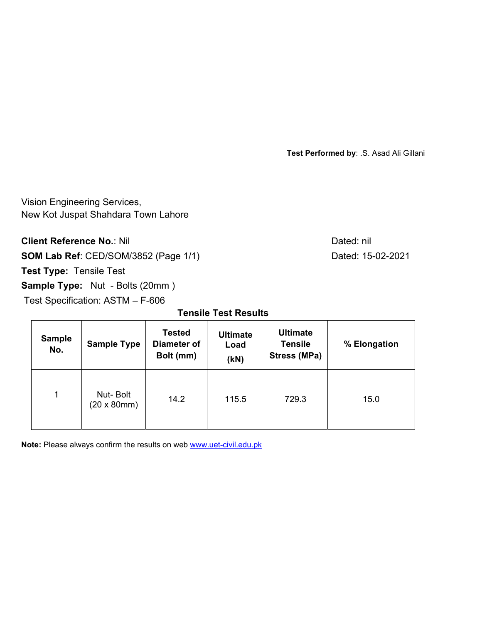**Test Performed by**: .S. Asad Ali Gillani

Vision Engineering Services, New Kot Juspat Shahdara Town Lahore

**Client Reference No.: Nil Client Reference No.: Nil** 

**SOM Lab Ref**: CED/SOM/3852 (Page 1/1) Dated: 15-02-2021

**Test Type:** Tensile Test

**Sample Type:** Nut - Bolts (20mm)

Test Specification: ASTM – F-606

**Tensile Test Results** 

| <b>Sample</b><br>No. | <b>Sample Type</b>                     | <b>Tested</b><br><b>Diameter of</b><br>Bolt (mm) | <b>Ultimate</b><br>Load<br>(KN) | <b>Ultimate</b><br><b>Tensile</b><br><b>Stress (MPa)</b> | % Elongation |  |
|----------------------|----------------------------------------|--------------------------------------------------|---------------------------------|----------------------------------------------------------|--------------|--|
| 1                    | Nut-Bolt<br>$(20 \times 80 \text{mm})$ | 14.2                                             | 115.5                           | 729.3                                                    | 15.0         |  |

**Note:** Please always confirm the results on web **www.uet-civil.edu.pk**